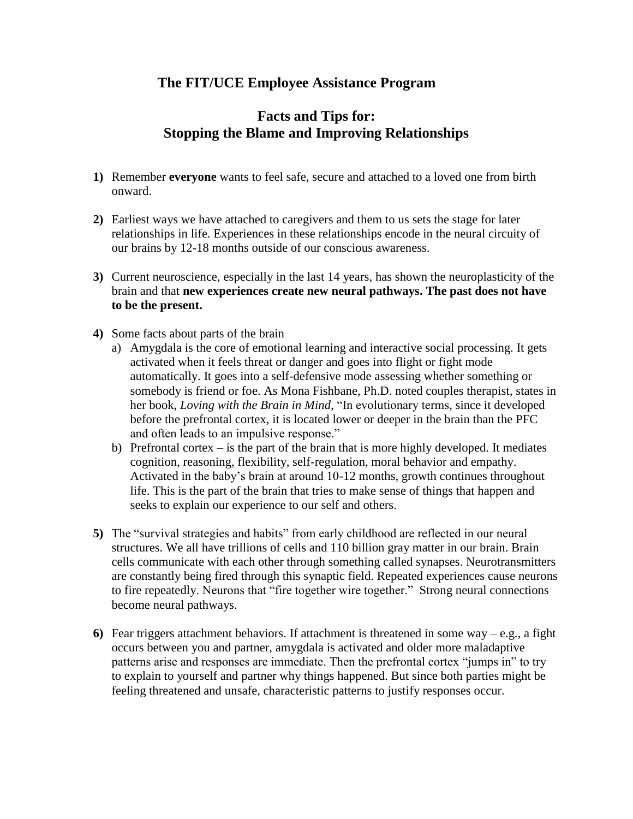## **The FIT/UCE Employee Assistance Program**

## **Facts and Tips for: Stopping the Blame and Improving Relationships**

- **1)** Remember **everyone** wants to feel safe, secure and attached to a loved one from birth onward.
- **2)** Earliest ways we have attached to caregivers and them to us sets the stage for later relationships in life. Experiences in these relationships encode in the neural circuity of our brains by 12-18 months outside of our conscious awareness.
- **3)** Current neuroscience, especially in the last 14 years, has shown the neuroplasticity of the brain and that **new experiences create new neural pathways. The past does not have to be the present.**
- **4)** Some facts about parts of the brain
	- a) Amygdala is the core of emotional learning and interactive social processing. It gets activated when it feels threat or danger and goes into flight or fight mode automatically. It goes into a self-defensive mode assessing whether something or somebody is friend or foe. As Mona Fishbane, Ph.D. noted couples therapist, states in her book, *Loving with the Brain in Mind,* "In evolutionary terms, since it developed before the prefrontal cortex, it is located lower or deeper in the brain than the PFC and often leads to an impulsive response."
	- b) Prefrontal cortex is the part of the brain that is more highly developed. It mediates cognition, reasoning, flexibility, self-regulation, moral behavior and empathy. Activated in the baby's brain at around 10-12 months, growth continues throughout life. This is the part of the brain that tries to make sense of things that happen and seeks to explain our experience to our self and others.
- **5)** The "survival strategies and habits" from early childhood are reflected in our neural structures. We all have trillions of cells and 110 billion gray matter in our brain. Brain cells communicate with each other through something called synapses. Neurotransmitters are constantly being fired through this synaptic field. Repeated experiences cause neurons to fire repeatedly. Neurons that "fire together wire together." Strong neural connections become neural pathways.
- **6)** Fear triggers attachment behaviors. If attachment is threatened in some way e.g., a fight occurs between you and partner, amygdala is activated and older more maladaptive patterns arise and responses are immediate. Then the prefrontal cortex "jumps in" to try to explain to yourself and partner why things happened. But since both parties might be feeling threatened and unsafe, characteristic patterns to justify responses occur.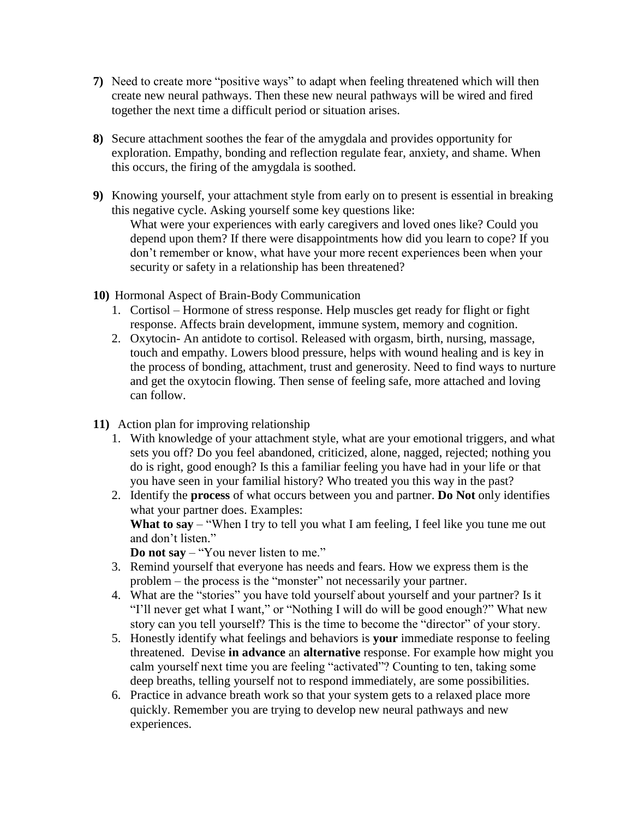- **7)** Need to create more "positive ways" to adapt when feeling threatened which will then create new neural pathways. Then these new neural pathways will be wired and fired together the next time a difficult period or situation arises.
- **8)** Secure attachment soothes the fear of the amygdala and provides opportunity for exploration. Empathy, bonding and reflection regulate fear, anxiety, and shame. When this occurs, the firing of the amygdala is soothed.
- **9)** Knowing yourself, your attachment style from early on to present is essential in breaking this negative cycle. Asking yourself some key questions like:

What were your experiences with early caregivers and loved ones like? Could you depend upon them? If there were disappointments how did you learn to cope? If you don't remember or know, what have your more recent experiences been when your security or safety in a relationship has been threatened?

- **10)** Hormonal Aspect of Brain-Body Communication
	- 1. Cortisol Hormone of stress response. Help muscles get ready for flight or fight response. Affects brain development, immune system, memory and cognition.
	- 2. Oxytocin- An antidote to cortisol. Released with orgasm, birth, nursing, massage, touch and empathy. Lowers blood pressure, helps with wound healing and is key in the process of bonding, attachment, trust and generosity. Need to find ways to nurture and get the oxytocin flowing. Then sense of feeling safe, more attached and loving can follow.
- **11)** Action plan for improving relationship
	- 1. With knowledge of your attachment style, what are your emotional triggers, and what sets you off? Do you feel abandoned, criticized, alone, nagged, rejected; nothing you do is right, good enough? Is this a familiar feeling you have had in your life or that you have seen in your familial history? Who treated you this way in the past?
	- 2. Identify the **process** of what occurs between you and partner. **Do Not** only identifies what your partner does. Examples:

**What to say** – "When I try to tell you what I am feeling, I feel like you tune me out and don't listen."

**Do not say** – "You never listen to me."

- 3. Remind yourself that everyone has needs and fears. How we express them is the problem – the process is the "monster" not necessarily your partner.
- 4. What are the "stories" you have told yourself about yourself and your partner? Is it "I'll never get what I want," or "Nothing I will do will be good enough?" What new story can you tell yourself? This is the time to become the "director" of your story.
- 5. Honestly identify what feelings and behaviors is **your** immediate response to feeling threatened. Devise **in advance** an **alternative** response. For example how might you calm yourself next time you are feeling "activated"? Counting to ten, taking some deep breaths, telling yourself not to respond immediately, are some possibilities.
- 6. Practice in advance breath work so that your system gets to a relaxed place more quickly. Remember you are trying to develop new neural pathways and new experiences.